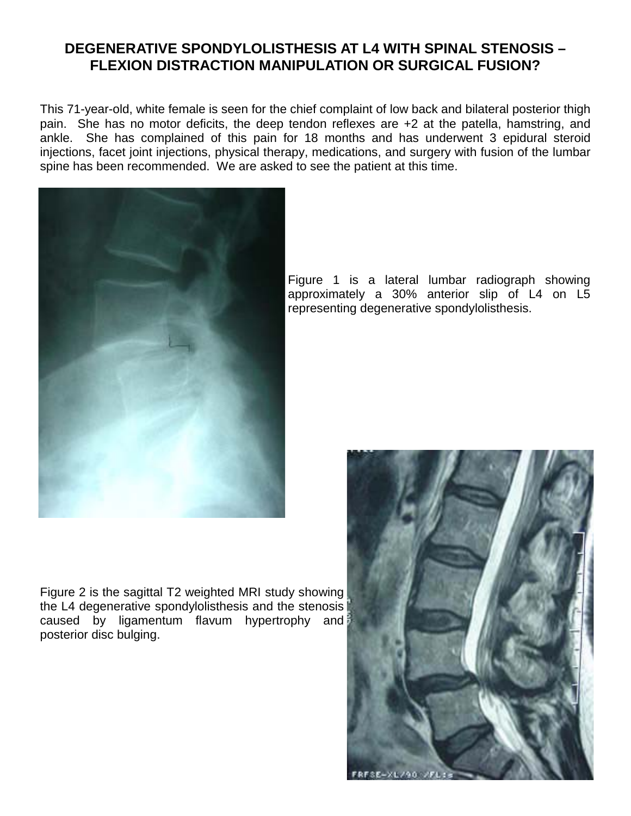## **DEGENERATIVE SPONDYLOLISTHESIS AT L4 WITH SPINAL STENOSIS – FLEXION DISTRACTION MANIPULATION OR SURGICAL FUSION?**

This 71-year-old, white female is seen for the chief complaint of low back and bilateral posterior thigh pain. She has no motor deficits, the deep tendon reflexes are +2 at the patella, hamstring, and ankle. She has complained of this pain for 18 months and has underwent 3 epidural steroid injections, facet joint injections, physical therapy, medications, and surgery with fusion of the lumbar spine has been recommended. We are asked to see the patient at this time.



Figure 2 is the sagittal T2 weighted MRI study showing the L4 degenerative spondylolisthesis and the stenosis caused by ligamentum flavum hypertrophy and posterior disc bulging.

Figure 1 is a lateral lumbar radiograph showing approximately a 30% anterior slip of L4 on L5 representing degenerative spondylolisthesis.

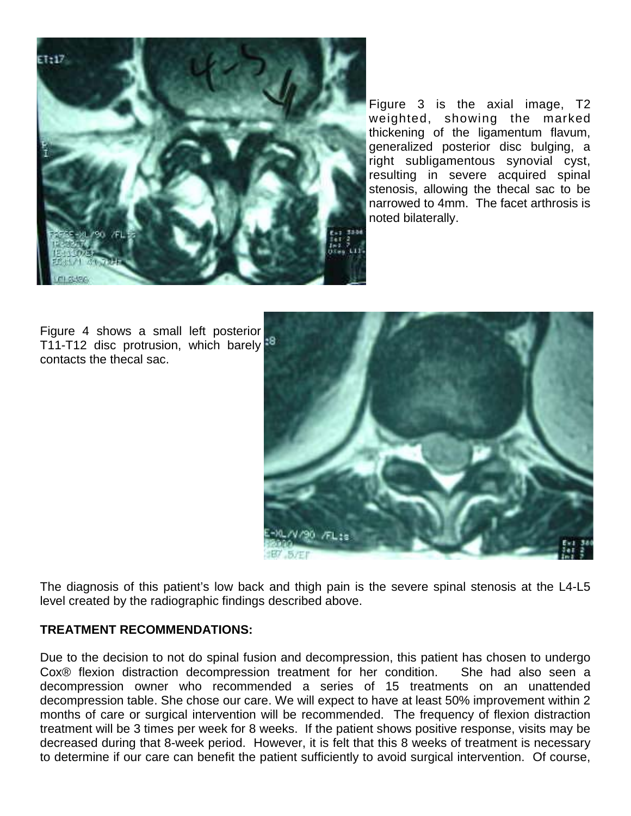

Figure 3 is the axial image, T2 weighted, showing the marked thickening of the ligamentum flavum, generalized posterior disc bulging, a right subligamentous synovial cyst, resulting in severe acquired spinal stenosis, allowing the thecal sac to be narrowed to 4mm. The facet arthrosis is noted bilaterally.

Figure 4 shows a small left posterior T11-T12 disc protrusion, which barely<sup>18</sup> contacts the thecal sac.



The diagnosis of this patient's low back and thigh pain is the severe spinal stenosis at the L4-L5 level created by the radiographic findings described above.

## **TREATMENT RECOMMENDATIONS:**

Due to the decision to not do spinal fusion and decompression, this patient has chosen to undergo Cox® flexion distraction decompression treatment for her condition. She had also seen a decompression owner who recommended a series of 15 treatments on an unattended decompression table. She chose our care. We will expect to have at least 50% improvement within 2 months of care or surgical intervention will be recommended. The frequency of flexion distraction treatment will be 3 times per week for 8 weeks. If the patient shows positive response, visits may be decreased during that 8-week period. However, it is felt that this 8 weeks of treatment is necessary to determine if our care can benefit the patient sufficiently to avoid surgical intervention. Of course,